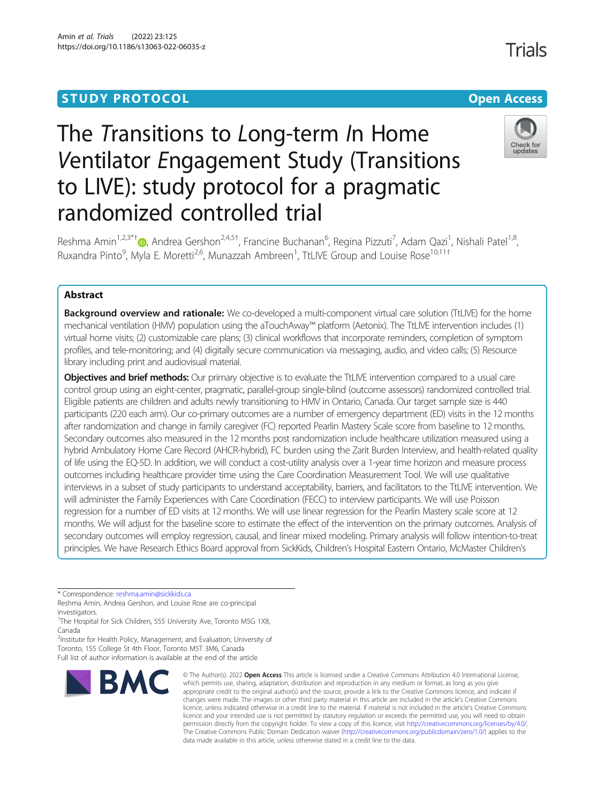# **STUDY PROTOCOL CONSUMING THE RESERVE ACCESS**



# The Transitions to Long-term In Home Ventilator Engagement Study (Transitions to LIVE): study protocol for a pragmatic randomized controlled trial



Reshma Amin<sup>1,2,3\*†</sup>®, Andrea Gershon<sup>2,4,5†</sup>, Francine Buchanan<sup>6</sup>, Regina Pizzuti<sup>7</sup>, Adam Qazi<sup>1</sup>, Nishali Patel<sup>1,8</sup>, Ruxandra Pinto<sup>9</sup>, Myla E. Moretti<sup>2,6</sup>, Munazzah Ambreen<sup>1</sup>, TtLIVE Group and Louise Rose<sup>10,11†</sup>

# Abstract

**Background overview and rationale:** We co-developed a multi-component virtual care solution (TtLIVE) for the home mechanical ventilation (HMV) population using the aTouchAway™ platform (Aetonix). The TtLIVE intervention includes (1) virtual home visits; (2) customizable care plans; (3) clinical workflows that incorporate reminders, completion of symptom profiles, and tele-monitoring; and (4) digitally secure communication via messaging, audio, and video calls; (5) Resource library including print and audiovisual material.

Objectives and brief methods: Our primary objective is to evaluate the TtLIVE intervention compared to a usual care control group using an eight-center, pragmatic, parallel-group single-blind (outcome assessors) randomized controlled trial. Eligible patients are children and adults newly transitioning to HMV in Ontario, Canada. Our target sample size is 440 participants (220 each arm). Our co-primary outcomes are a number of emergency department (ED) visits in the 12 months after randomization and change in family caregiver (FC) reported Pearlin Mastery Scale score from baseline to 12 months. Secondary outcomes also measured in the 12 months post randomization include healthcare utilization measured using a hybrid Ambulatory Home Care Record (AHCR-hybrid), FC burden using the Zarit Burden Interview, and health-related quality of life using the EQ-5D. In addition, we will conduct a cost-utility analysis over a 1-year time horizon and measure process outcomes including healthcare provider time using the Care Coordination Measurement Tool. We will use qualitative interviews in a subset of study participants to understand acceptability, barriers, and facilitators to the TtLIVE intervention. We will administer the Family Experiences with Care Coordination (FECC) to interview participants. We will use Poisson regression for a number of ED visits at 12 months. We will use linear regression for the Pearlin Mastery scale score at 12 months. We will adjust for the baseline score to estimate the effect of the intervention on the primary outcomes. Analysis of secondary outcomes will employ regression, causal, and linear mixed modeling. Primary analysis will follow intention-to-treat principles. We have Research Ethics Board approval from SickKids, Children's Hospital Eastern Ontario, McMaster Children's

\* Correspondence: [reshma.amin@sickkids.ca](mailto:reshma.amin@sickkids.ca)

Reshma Amin, Andrea Gershon, and Louise Rose are co-principal investigators.

<sup>1</sup>The Hospital for Sick Children, 555 University Ave, Toronto M5G 1X8, Canada

<sup>2</sup>Institute for Health Policy, Management, and Evaluation, University of Toronto, 155 College St 4th Floor, Toronto M5T 3M6, Canada

Full list of author information is available at the end of the article



© The Author(s), 2022 **Open Access** This article is licensed under a Creative Commons Attribution 4.0 International License, which permits use, sharing, adaptation, distribution and reproduction in any medium or format, as long as you give appropriate credit to the original author(s) and the source, provide a link to the Creative Commons licence, and indicate if changes were made. The images or other third party material in this article are included in the article's Creative Commons licence, unless indicated otherwise in a credit line to the material. If material is not included in the article's Creative Commons licence and your intended use is not permitted by statutory regulation or exceeds the permitted use, you will need to obtain permission directly from the copyright holder. To view a copy of this licence, visit [http://creativecommons.org/licenses/by/4.0/.](http://creativecommons.org/licenses/by/4.0/) The Creative Commons Public Domain Dedication waiver [\(http://creativecommons.org/publicdomain/zero/1.0/](http://creativecommons.org/publicdomain/zero/1.0/)) applies to the data made available in this article, unless otherwise stated in a credit line to the data.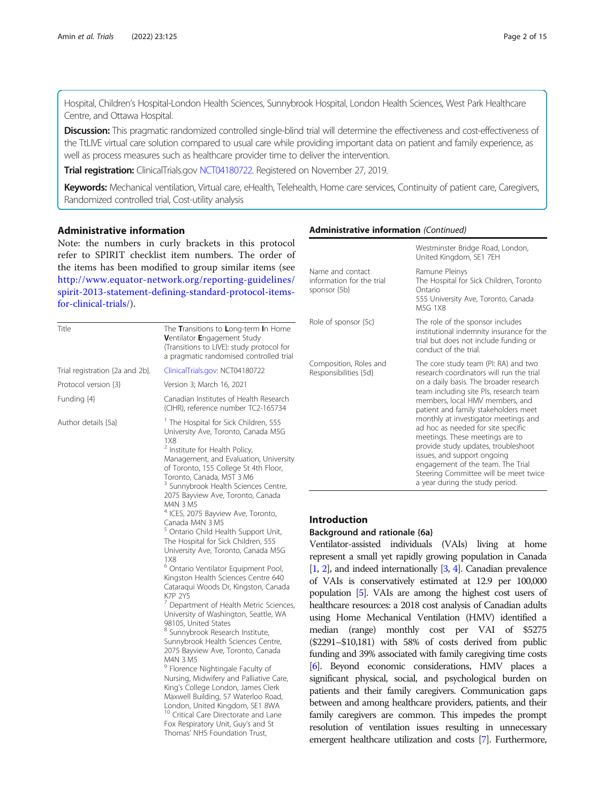Hospital, Children's Hospital-London Health Sciences, Sunnybrook Hospital, London Health Sciences, West Park Healthcare Centre, and Ottawa Hospital.

**Discussion:** This pragmatic randomized controlled single-blind trial will determine the effectiveness and cost-effectiveness of the TtLIVE virtual care solution compared to usual care while providing important data on patient and family experience, as well as process measures such as healthcare provider time to deliver the intervention.

Trial registration: ClinicalTrials.gov [NCT04180722](https://clinicaltrials.gov/ct2/show/NCT04180722). Registered on November 27, 2019.

Keywords: Mechanical ventilation, Virtual care, eHealth, Telehealth, Home care services, Continuity of patient care, Caregivers, Randomized controlled trial, Cost-utility analysis

# Administrative information

Note: the numbers in curly brackets in this protocol refer to SPIRIT checklist item numbers. The order of the items has been modified to group similar items (see [http://www.equator-network.org/reporting-guidelines/](http://www.equator-network.org/reporting-guidelines/spirit-2013-statement-defining-standard-protocol-items-for-clinical-trials/) [spirit-2013-statement-defining-standard-protocol-items](http://www.equator-network.org/reporting-guidelines/spirit-2013-statement-defining-standard-protocol-items-for-clinical-trials/)[for-clinical-trials/](http://www.equator-network.org/reporting-guidelines/spirit-2013-statement-defining-standard-protocol-items-for-clinical-trials/)).

| Title                           | The Transitions to Long-term In Home<br>Ventilator Engagement Study<br>(Transitions to LIVE): study protocol for<br>a pragmatic randomised controlled trial                                                                                                                                                                                                                                                      | Role of         |
|---------------------------------|------------------------------------------------------------------------------------------------------------------------------------------------------------------------------------------------------------------------------------------------------------------------------------------------------------------------------------------------------------------------------------------------------------------|-----------------|
| Trial registration {2a and 2b}. | ClinicalTrials.gov: NCT04180722                                                                                                                                                                                                                                                                                                                                                                                  | Compc<br>Respon |
| Protocol version {3}            | Version 3; March 16, 2021                                                                                                                                                                                                                                                                                                                                                                                        |                 |
| Funding {4}                     | Canadian Institutes of Health Research<br>(CIHR), reference number TC2-165734                                                                                                                                                                                                                                                                                                                                    |                 |
| Author details {5a}             | <sup>1</sup> The Hospital for Sick Children, 555<br>University Ave, Toronto, Canada M5G<br>1X8<br><sup>2</sup> Institute for Health Policy,<br>Management, and Evaluation, University<br>of Toronto, 155 College St 4th Floor,<br>Toronto, Canada, M5T 3 M6<br><sup>3</sup> Sunnybrook Health Sciences Centre,<br>2075 Bayview Ave, Toronto, Canada<br>M4N 3 M5<br><sup>4</sup> ICES, 2075 Bayview Ave, Toronto, |                 |
|                                 | Canada M4N 3 M5                                                                                                                                                                                                                                                                                                                                                                                                  | Intro           |
|                                 | <sup>5</sup> Ontario Child Health Support Unit,                                                                                                                                                                                                                                                                                                                                                                  | <b>Backg</b>    |
|                                 | The Hospital for Sick Children, 555                                                                                                                                                                                                                                                                                                                                                                              | Ventil          |
|                                 | University Ave, Toronto, Canada M5G<br><b>1X8</b>                                                                                                                                                                                                                                                                                                                                                                | repres          |
|                                 | <sup>6</sup> Ontario Ventilator Equipment Pool,                                                                                                                                                                                                                                                                                                                                                                  | [1, 2],         |
|                                 | Kingston Health Sciences Centre 640                                                                                                                                                                                                                                                                                                                                                                              | of $V_f$        |
|                                 | Cataraqui Woods Dr, Kingston, Canada                                                                                                                                                                                                                                                                                                                                                                             | popula          |
|                                 | <b>K7P 2Y5</b><br><sup>7</sup> Department of Health Metric Sciences,                                                                                                                                                                                                                                                                                                                                             | health          |
|                                 | University of Washington, Seattle, WA                                                                                                                                                                                                                                                                                                                                                                            | using           |
|                                 | 98105, United States                                                                                                                                                                                                                                                                                                                                                                                             | media           |
|                                 | <sup>8</sup> Sunnybrook Research Institute,<br>Sunnybrook Health Sciences Centre,                                                                                                                                                                                                                                                                                                                                |                 |
|                                 | 2075 Bayview Ave, Toronto, Canada                                                                                                                                                                                                                                                                                                                                                                                | $(\$229$        |
|                                 | M4N 3 M5                                                                                                                                                                                                                                                                                                                                                                                                         | fundir          |
|                                 | <sup>9</sup> Florence Nightingale Faculty of                                                                                                                                                                                                                                                                                                                                                                     | $[6]$ . I       |
|                                 | Nursing, Midwifery and Palliative Care,                                                                                                                                                                                                                                                                                                                                                                          | signifi         |
|                                 | King's College London, James Clerk                                                                                                                                                                                                                                                                                                                                                                               | patien          |
|                                 | Maxwell Building, 57 Waterloo Road,<br>London, United Kingdom, SE1 8WA                                                                                                                                                                                                                                                                                                                                           | betwe           |
|                                 | <sup>10</sup> Critical Care Directorate and Lane                                                                                                                                                                                                                                                                                                                                                                 | family          |
|                                 | Fox Respiratory Unit, Guy's and St                                                                                                                                                                                                                                                                                                                                                                               | resolu          |
|                                 | Thomas' NHS Foundation Trust,                                                                                                                                                                                                                                                                                                                                                                                    | $\sim$ $\sim$   |

# Administrative information (Continued)

|                                                               | Westminster Bridge Road, London,<br>United Kingdom, SE1 7EH                                                                                                                                                                                                                                                                                                                                                                                                                                                                                             |
|---------------------------------------------------------------|---------------------------------------------------------------------------------------------------------------------------------------------------------------------------------------------------------------------------------------------------------------------------------------------------------------------------------------------------------------------------------------------------------------------------------------------------------------------------------------------------------------------------------------------------------|
| Name and contact<br>information for the trial<br>sponsor {5b} | Ramune Pleinys<br>The Hospital for Sick Children, Toronto<br>Ontario<br>555 University Ave, Toronto, Canada<br>M5G 1X8                                                                                                                                                                                                                                                                                                                                                                                                                                  |
| Role of sponsor {5c}                                          | The role of the sponsor includes<br>institutional indemnity insurance for the<br>trial but does not include funding or<br>conduct of the trial.                                                                                                                                                                                                                                                                                                                                                                                                         |
| Composition, Roles and<br>Responsibilities {5d}               | The core study team (PI: RA) and two<br>research coordinators will run the trial<br>on a daily basis. The broader research<br>team including site PIs, research team<br>members, local HMV members, and<br>patient and family stakeholders meet<br>monthly at investigator meetings and<br>ad hoc as needed for site specific<br>meetings. These meetings are to<br>provide study updates, troubleshoot<br>issues, and support ongoing<br>engagement of the team. The Trial<br>Steering Committee will be meet twice<br>a year during the study period. |

# duction

#### ground and rationale {6a}

lator-assisted individuals (VAIs) living at home sent a small yet rapidly growing population in Canada and indeed internationally  $[3, 4]$  $[3, 4]$  $[3, 4]$ . Canadian prevalence AIs is conservatively estimated at 12.9 per 100,000 ation  $[5]$ . VAIs are among the highest cost users of heare resources: a 2018 cost analysis of Canadian adults Home Mechanical Ventilation (HMV) identified a median (range) monthly cost per VAI of \$5275 1–\$10,181) with 58% of costs derived from public ng and 39% associated with family caregiving time costs [[6](#page-13-0)]. Beyond economic considerations, HMV places a cant physical, social, and psychological burden on ats and their family caregivers. Communication gaps en and among healthcare providers, patients, and their caregivers are common. This impedes the prompt ition of ventilation issues resulting in unnecessary emergent healthcare utilization and costs [\[7\]](#page-13-0). Furthermore,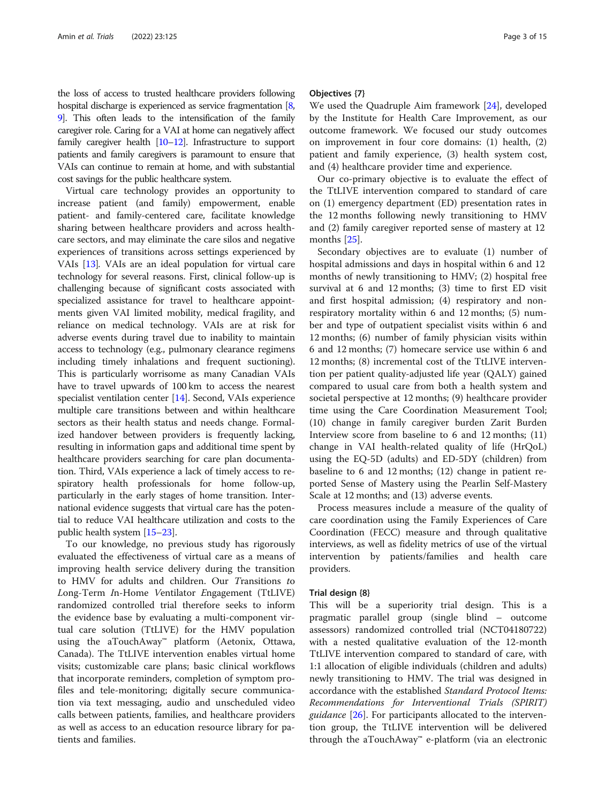the loss of access to trusted healthcare providers following hospital discharge is experienced as service fragmentation [\[8](#page-13-0), [9](#page-14-0)]. This often leads to the intensification of the family caregiver role. Caring for a VAI at home can negatively affect family caregiver health [\[10](#page-14-0)–[12](#page-14-0)]. Infrastructure to support patients and family caregivers is paramount to ensure that VAIs can continue to remain at home, and with substantial cost savings for the public healthcare system.

Virtual care technology provides an opportunity to increase patient (and family) empowerment, enable patient- and family-centered care, facilitate knowledge sharing between healthcare providers and across healthcare sectors, and may eliminate the care silos and negative experiences of transitions across settings experienced by VAIs [\[13](#page-14-0)]. VAIs are an ideal population for virtual care technology for several reasons. First, clinical follow-up is challenging because of significant costs associated with specialized assistance for travel to healthcare appointments given VAI limited mobility, medical fragility, and reliance on medical technology. VAIs are at risk for adverse events during travel due to inability to maintain access to technology (e.g., pulmonary clearance regimens including timely inhalations and frequent suctioning). This is particularly worrisome as many Canadian VAIs have to travel upwards of 100 km to access the nearest specialist ventilation center [\[14\]](#page-14-0). Second, VAIs experience multiple care transitions between and within healthcare sectors as their health status and needs change. Formalized handover between providers is frequently lacking, resulting in information gaps and additional time spent by healthcare providers searching for care plan documentation. Third, VAIs experience a lack of timely access to respiratory health professionals for home follow-up, particularly in the early stages of home transition. International evidence suggests that virtual care has the potential to reduce VAI healthcare utilization and costs to the public health system [\[15](#page-14-0)–[23](#page-14-0)].

To our knowledge, no previous study has rigorously evaluated the effectiveness of virtual care as a means of improving health service delivery during the transition to HMV for adults and children. Our Transitions to Long-Term In-Home Ventilator Engagement (TtLIVE) randomized controlled trial therefore seeks to inform the evidence base by evaluating a multi-component virtual care solution (TtLIVE) for the HMV population using the aTouchAway™ platform (Aetonix, Ottawa, Canada). The TtLIVE intervention enables virtual home visits; customizable care plans; basic clinical workflows that incorporate reminders, completion of symptom profiles and tele-monitoring; digitally secure communication via text messaging, audio and unscheduled video calls between patients, families, and healthcare providers as well as access to an education resource library for patients and families.

#### Objectives {7}

We used the Quadruple Aim framework [\[24\]](#page-14-0), developed by the Institute for Health Care Improvement, as our outcome framework. We focused our study outcomes on improvement in four core domains: (1) health, (2) patient and family experience, (3) health system cost, and (4) healthcare provider time and experience.

Our co-primary objective is to evaluate the effect of the TtLIVE intervention compared to standard of care on (1) emergency department (ED) presentation rates in the 12 months following newly transitioning to HMV and (2) family caregiver reported sense of mastery at 12 months [[25\]](#page-14-0).

Secondary objectives are to evaluate (1) number of hospital admissions and days in hospital within 6 and 12 months of newly transitioning to HMV; (2) hospital free survival at 6 and 12 months; (3) time to first ED visit and first hospital admission; (4) respiratory and nonrespiratory mortality within 6 and 12 months; (5) number and type of outpatient specialist visits within 6 and 12 months; (6) number of family physician visits within 6 and 12 months; (7) homecare service use within 6 and 12 months; (8) incremental cost of the TtLIVE intervention per patient quality-adjusted life year (QALY) gained compared to usual care from both a health system and societal perspective at 12 months; (9) healthcare provider time using the Care Coordination Measurement Tool; (10) change in family caregiver burden Zarit Burden Interview score from baseline to 6 and 12 months; (11) change in VAI health-related quality of life (HrQoL) using the EQ-5D (adults) and ED-5DY (children) from baseline to 6 and 12 months; (12) change in patient reported Sense of Mastery using the Pearlin Self-Mastery Scale at 12 months; and (13) adverse events.

Process measures include a measure of the quality of care coordination using the Family Experiences of Care Coordination (FECC) measure and through qualitative interviews, as well as fidelity metrics of use of the virtual intervention by patients/families and health care providers.

#### Trial design {8}

This will be a superiority trial design. This is a pragmatic parallel group (single blind – outcome assessors) randomized controlled trial (NCT04180722) with a nested qualitative evaluation of the 12-month TtLIVE intervention compared to standard of care, with 1:1 allocation of eligible individuals (children and adults) newly transitioning to HMV. The trial was designed in accordance with the established Standard Protocol Items: Recommendations for Interventional Trials (SPIRIT) *guidance* [\[26](#page-14-0)]. For participants allocated to the intervention group, the TtLIVE intervention will be delivered through the aTouchAway™ e-platform (via an electronic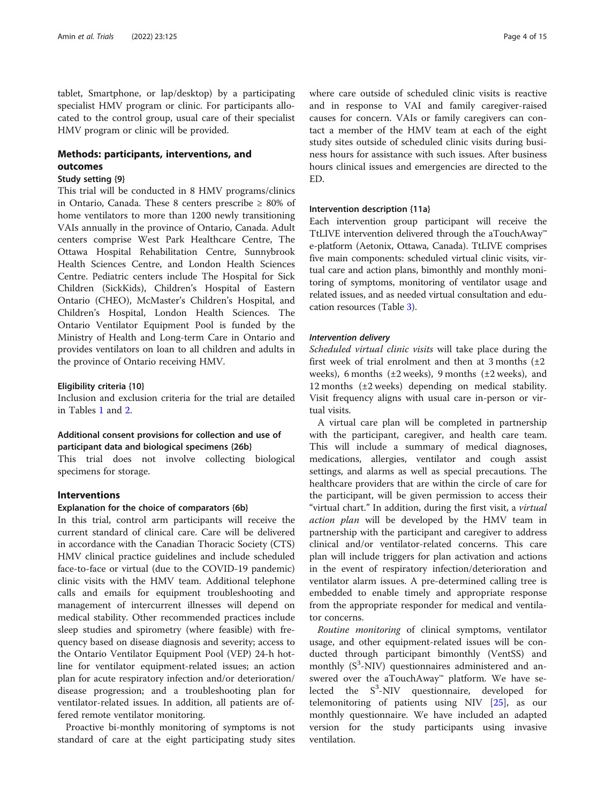tablet, Smartphone, or lap/desktop) by a participating specialist HMV program or clinic. For participants allocated to the control group, usual care of their specialist HMV program or clinic will be provided.

# Methods: participants, interventions, and outcomes

# Study setting {9}

This trial will be conducted in 8 HMV programs/clinics in Ontario, Canada. These 8 centers prescribe ≥ 80% of home ventilators to more than 1200 newly transitioning VAIs annually in the province of Ontario, Canada. Adult centers comprise West Park Healthcare Centre, The Ottawa Hospital Rehabilitation Centre, Sunnybrook Health Sciences Centre, and London Health Sciences Centre. Pediatric centers include The Hospital for Sick Children (SickKids), Children's Hospital of Eastern Ontario (CHEO), McMaster's Children's Hospital, and Children's Hospital, London Health Sciences. The Ontario Ventilator Equipment Pool is funded by the Ministry of Health and Long-term Care in Ontario and provides ventilators on loan to all children and adults in the province of Ontario receiving HMV.

# Eligibility criteria {10}

Inclusion and exclusion criteria for the trial are detailed in Tables [1](#page-4-0) and [2](#page-4-0).

# Additional consent provisions for collection and use of participant data and biological specimens {26b}

This trial does not involve collecting biological specimens for storage.

# Interventions

# Explanation for the choice of comparators {6b}

In this trial, control arm participants will receive the current standard of clinical care. Care will be delivered in accordance with the Canadian Thoracic Society (CTS) HMV clinical practice guidelines and include scheduled face-to-face or virtual (due to the COVID-19 pandemic) clinic visits with the HMV team. Additional telephone calls and emails for equipment troubleshooting and management of intercurrent illnesses will depend on medical stability. Other recommended practices include sleep studies and spirometry (where feasible) with frequency based on disease diagnosis and severity; access to the Ontario Ventilator Equipment Pool (VEP) 24-h hotline for ventilator equipment-related issues; an action plan for acute respiratory infection and/or deterioration/ disease progression; and a troubleshooting plan for ventilator-related issues. In addition, all patients are offered remote ventilator monitoring.

Proactive bi-monthly monitoring of symptoms is not standard of care at the eight participating study sites

where care outside of scheduled clinic visits is reactive and in response to VAI and family caregiver-raised causes for concern. VAIs or family caregivers can contact a member of the HMV team at each of the eight study sites outside of scheduled clinic visits during business hours for assistance with such issues. After business hours clinical issues and emergencies are directed to the ED.

# Intervention description {11a}

Each intervention group participant will receive the TtLIVE intervention delivered through the aTouchAway™ e-platform (Aetonix, Ottawa, Canada). TtLIVE comprises five main components: scheduled virtual clinic visits, virtual care and action plans, bimonthly and monthly monitoring of symptoms, monitoring of ventilator usage and related issues, and as needed virtual consultation and education resources (Table [3](#page-5-0)).

# Intervention delivery

Scheduled virtual clinic visits will take place during the first week of trial enrolment and then at 3 months  $(\pm 2)$ weeks), 6 months ( $\pm 2$  weeks), 9 months ( $\pm 2$  weeks), and 12 months (±2 weeks) depending on medical stability. Visit frequency aligns with usual care in-person or virtual visits.

A virtual care plan will be completed in partnership with the participant, caregiver, and health care team. This will include a summary of medical diagnoses, medications, allergies, ventilator and cough assist settings, and alarms as well as special precautions. The healthcare providers that are within the circle of care for the participant, will be given permission to access their "virtual chart." In addition, during the first visit, a virtual action plan will be developed by the HMV team in partnership with the participant and caregiver to address clinical and/or ventilator-related concerns. This care plan will include triggers for plan activation and actions in the event of respiratory infection/deterioration and ventilator alarm issues. A pre-determined calling tree is embedded to enable timely and appropriate response from the appropriate responder for medical and ventilator concerns.

Routine monitoring of clinical symptoms, ventilator usage, and other equipment-related issues will be conducted through participant bimonthly (VentSS) and monthly  $(S^3-NIV)$  questionnaires administered and answered over the aTouchAway™ platform. We have selected the  $S^3$ -NIV questionnaire, developed for telemonitoring of patients using NIV [[25\]](#page-14-0), as our monthly questionnaire. We have included an adapted version for the study participants using invasive ventilation.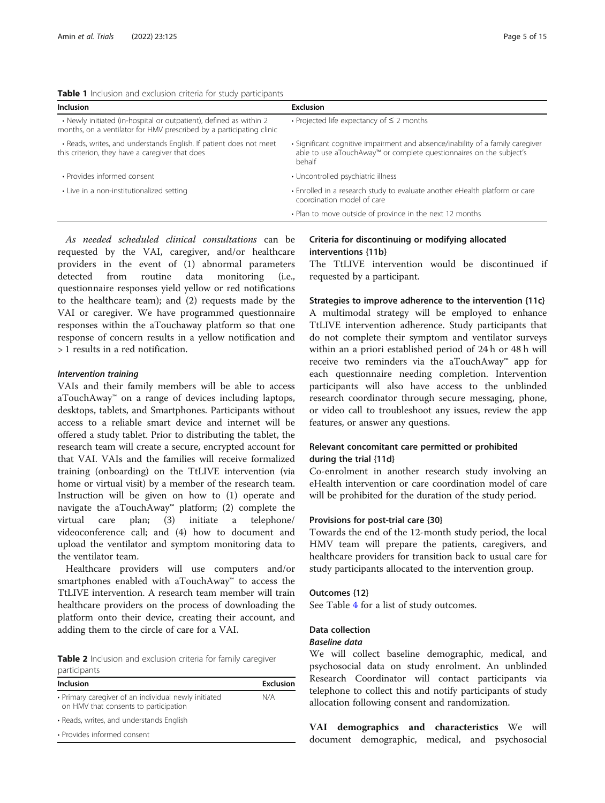<span id="page-4-0"></span>Table 1 Inclusion and exclusion criteria for study participants

| Inclusion                                                                                                                                  | <b>Exclusion</b>                                                                                                                                                |
|--------------------------------------------------------------------------------------------------------------------------------------------|-----------------------------------------------------------------------------------------------------------------------------------------------------------------|
| • Newly initiated (in-hospital or outpatient), defined as within 2<br>months, on a ventilator for HMV prescribed by a participating clinic | • Projected life expectancy of $\leq$ 2 months                                                                                                                  |
| • Reads, writes, and understands English. If patient does not meet<br>this criterion, they have a caregiver that does                      | • Significant cognitive impairment and absence/inability of a family caregiver<br>able to use aTouchAway™ or complete questionnaires on the subject's<br>behalf |
| • Provides informed consent                                                                                                                | • Uncontrolled psychiatric illness                                                                                                                              |
| • Live in a non-institutionalized setting                                                                                                  | • Enrolled in a research study to evaluate another eHealth platform or care<br>coordination model of care                                                       |
|                                                                                                                                            | . Plan to move outside of province in the next 12 months                                                                                                        |
|                                                                                                                                            |                                                                                                                                                                 |

As needed scheduled clinical consultations can be requested by the VAI, caregiver, and/or healthcare providers in the event of (1) abnormal parameters detected from routine data monitoring (i.e., questionnaire responses yield yellow or red notifications to the healthcare team); and (2) requests made by the VAI or caregiver. We have programmed questionnaire responses within the aTouchaway platform so that one response of concern results in a yellow notification and > 1 results in a red notification.

#### Intervention training

VAIs and their family members will be able to access aTouchAway™ on a range of devices including laptops, desktops, tablets, and Smartphones. Participants without access to a reliable smart device and internet will be offered a study tablet. Prior to distributing the tablet, the research team will create a secure, encrypted account for that VAI. VAIs and the families will receive formalized training (onboarding) on the TtLIVE intervention (via home or virtual visit) by a member of the research team. Instruction will be given on how to (1) operate and navigate the aTouchAway™ platform; (2) complete the virtual care plan; (3) initiate a telephone/ videoconference call; and (4) how to document and upload the ventilator and symptom monitoring data to the ventilator team.

Healthcare providers will use computers and/or smartphones enabled with aTouchAway™ to access the TtLIVE intervention. A research team member will train healthcare providers on the process of downloading the platform onto their device, creating their account, and adding them to the circle of care for a VAI.

Table 2 Inclusion and exclusion criteria for family caregiver participants

| Inclusion                                                                                     | <b>Exclusion</b> |
|-----------------------------------------------------------------------------------------------|------------------|
| • Primary caregiver of an individual newly initiated<br>on HMV that consents to participation | N/A              |
| • Reads, writes, and understands English                                                      |                  |
| • Provides informed consent                                                                   |                  |

# Criteria for discontinuing or modifying allocated interventions {11b}

The TtLIVE intervention would be discontinued if requested by a participant.

Strategies to improve adherence to the intervention {11c} A multimodal strategy will be employed to enhance TtLIVE intervention adherence. Study participants that do not complete their symptom and ventilator surveys within an a priori established period of 24 h or 48 h will receive two reminders via the aTouchAway™ app for each questionnaire needing completion. Intervention participants will also have access to the unblinded research coordinator through secure messaging, phone, or video call to troubleshoot any issues, review the app features, or answer any questions.

# Relevant concomitant care permitted or prohibited during the trial {11d}

Co-enrolment in another research study involving an eHealth intervention or care coordination model of care will be prohibited for the duration of the study period.

# Provisions for post-trial care {30}

Towards the end of the 12-month study period, the local HMV team will prepare the patients, caregivers, and healthcare providers for transition back to usual care for study participants allocated to the intervention group.

# Outcomes {12}

See Table [4](#page-6-0) for a list of study outcomes.

# Data collection

# Baseline data

We will collect baseline demographic, medical, and psychosocial data on study enrolment. An unblinded Research Coordinator will contact participants via telephone to collect this and notify participants of study allocation following consent and randomization.

VAI demographics and characteristics We will document demographic, medical, and psychosocial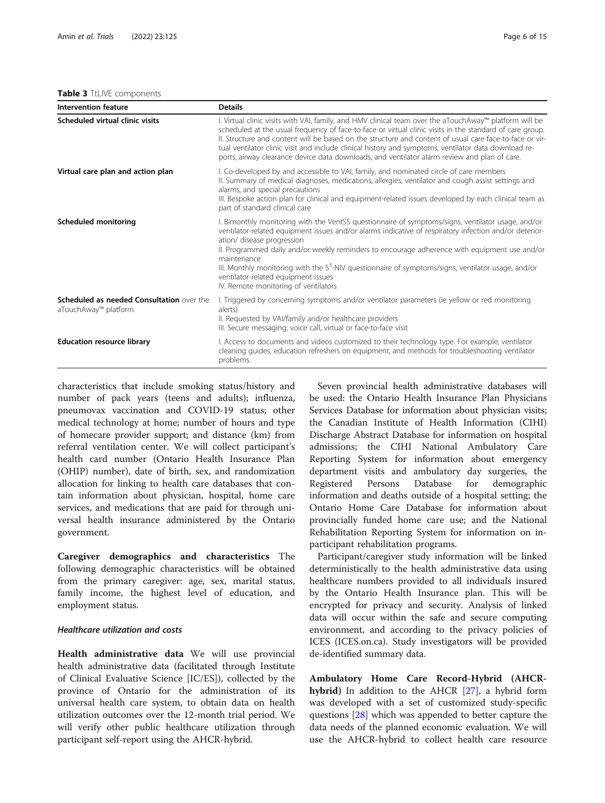#### <span id="page-5-0"></span>Table 3 TtLIVE components

| Intervention feature                                              | <b>Details</b>                                                                                                                                                                                                                                                                                                                                                                                                                                                                                                                                             |
|-------------------------------------------------------------------|------------------------------------------------------------------------------------------------------------------------------------------------------------------------------------------------------------------------------------------------------------------------------------------------------------------------------------------------------------------------------------------------------------------------------------------------------------------------------------------------------------------------------------------------------------|
| Scheduled virtual clinic visits                                   | I. Virtual clinic visits with VAI, family, and HMV clinical team over the aTouchAway™ platform will be<br>scheduled at the usual frequency of face-to-face or virtual clinic visits in the standard of care group.<br>II. Structure and content will be based on the structure and content of usual care face-to-face or vir-<br>tual ventilator clinic visit and include clinical history and symptoms, ventilator data download re-<br>ports, airway clearance device data downloads, and ventilator alarm review and plan of care.                      |
| Virtual care plan and action plan                                 | I. Co-developed by and accessible to VAI, family, and nominated circle of care members<br>II. Summary of medical diagnoses, medications, allergies, ventilator and cough assist settings and<br>alarms, and special precautions<br>III. Bespoke action plan for clinical and equipment-related issues developed by each clinical team as<br>part of standard clinical care                                                                                                                                                                                 |
| Scheduled monitoring                                              | I. Bimonthly monitoring with the VentSS questionnaire of symptoms/signs, ventilator usage, and/or<br>ventilator-related equipment issues and/or alarms indicative of respiratory infection and/or deterior-<br>ation/ disease progression<br>II. Programmed daily and/or weekly reminders to encourage adherence with equipment use and/or<br>maintenance<br>III. Monthly monitoring with the S <sup>3</sup> -NIV questionnaire of symptoms/signs, ventilator usage, and/or<br>ventilator-related equipment issues<br>IV. Remote monitoring of ventilators |
| Scheduled as needed Consultation over the<br>aTouchAway™ platform | I. Triggered by concerning symptoms and/or ventilator parameters (ie yellow or red monitoring<br>alerts)<br>II. Requested by VAI/family and/or healthcare providers<br>III. Secure messaging, voice call, virtual or face-to-face visit                                                                                                                                                                                                                                                                                                                    |
| <b>Education resource library</b>                                 | I. Access to documents and videos customized to their technology type. For example, ventilator<br>cleaning quides, education refreshers on equipment, and methods for troubleshooting ventilator<br>problems.                                                                                                                                                                                                                                                                                                                                              |

characteristics that include smoking status/history and number of pack years (teens and adults); influenza, pneumovax vaccination and COVID-19 status; other medical technology at home; number of hours and type of homecare provider support; and distance (km) from referral ventilation center. We will collect participant's health card number (Ontario Health Insurance Plan (OHIP) number), date of birth, sex, and randomization allocation for linking to health care databases that contain information about physician, hospital, home care services, and medications that are paid for through universal health insurance administered by the Ontario government.

Caregiver demographics and characteristics The following demographic characteristics will be obtained from the primary caregiver: age, sex, marital status, family income, the highest level of education, and employment status.

# Healthcare utilization and costs

Health administrative data We will use provincial health administrative data (facilitated through Institute of Clinical Evaluative Science [IC/ES]), collected by the province of Ontario for the administration of its universal health care system, to obtain data on health utilization outcomes over the 12-month trial period. We will verify other public healthcare utilization through participant self-report using the AHCR-hybrid.

Seven provincial health administrative databases will be used: the Ontario Health Insurance Plan Physicians Services Database for information about physician visits; the Canadian Institute of Health Information (CIHI) Discharge Abstract Database for information on hospital admissions; the CIHI National Ambulatory Care Reporting System for information about emergency department visits and ambulatory day surgeries, the Registered Persons Database for demographic information and deaths outside of a hospital setting; the Ontario Home Care Database for information about provincially funded home care use; and the National Rehabilitation Reporting System for information on inparticipant rehabilitation programs.

Participant/caregiver study information will be linked deterministically to the health administrative data using healthcare numbers provided to all individuals insured by the Ontario Health Insurance plan. This will be encrypted for privacy and security. Analysis of linked data will occur within the safe and secure computing environment, and according to the privacy policies of ICES (ICES.on.ca). Study investigators will be provided de-identified summary data.

Ambulatory Home Care Record-Hybrid (AHCR-hybrid) In addition to the AHCR [\[27](#page-14-0)], a hybrid form was developed with a set of customized study-specific questions [[28](#page-14-0)] which was appended to better capture the data needs of the planned economic evaluation. We will use the AHCR-hybrid to collect health care resource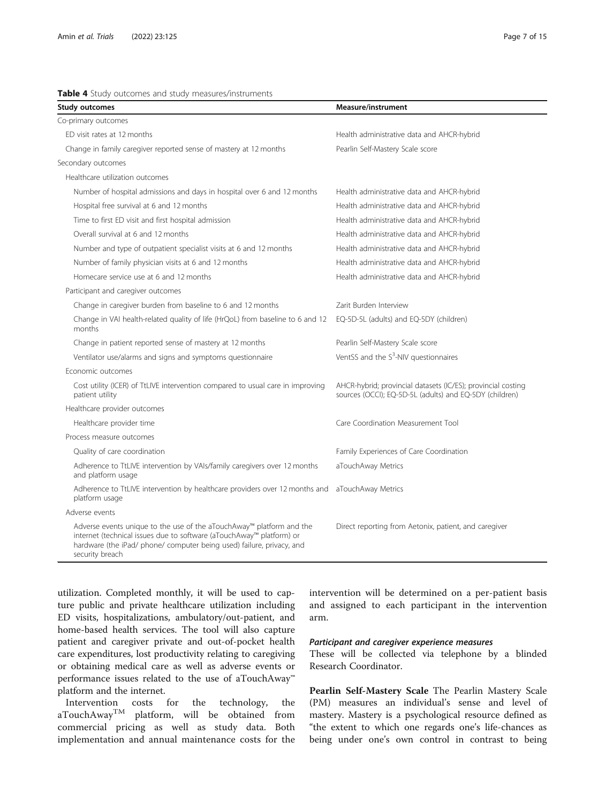<span id="page-6-0"></span>

| Table 4 Study outcomes and study measures/instruments |  |
|-------------------------------------------------------|--|
|-------------------------------------------------------|--|

| Study outcomes                                                                                                                                                                                                                           | Measure/instrument                                                                                                      |
|------------------------------------------------------------------------------------------------------------------------------------------------------------------------------------------------------------------------------------------|-------------------------------------------------------------------------------------------------------------------------|
| Co-primary outcomes                                                                                                                                                                                                                      |                                                                                                                         |
| ED visit rates at 12 months                                                                                                                                                                                                              | Health administrative data and AHCR-hybrid                                                                              |
| Change in family caregiver reported sense of mastery at 12 months                                                                                                                                                                        | Pearlin Self-Mastery Scale score                                                                                        |
| Secondary outcomes                                                                                                                                                                                                                       |                                                                                                                         |
| Healthcare utilization outcomes                                                                                                                                                                                                          |                                                                                                                         |
| Number of hospital admissions and days in hospital over 6 and 12 months                                                                                                                                                                  | Health administrative data and AHCR-hybrid                                                                              |
| Hospital free survival at 6 and 12 months                                                                                                                                                                                                | Health administrative data and AHCR-hybrid                                                                              |
| Time to first ED visit and first hospital admission                                                                                                                                                                                      | Health administrative data and AHCR-hybrid                                                                              |
| Overall survival at 6 and 12 months                                                                                                                                                                                                      | Health administrative data and AHCR-hybrid                                                                              |
| Number and type of outpatient specialist visits at 6 and 12 months                                                                                                                                                                       | Health administrative data and AHCR-hybrid                                                                              |
| Number of family physician visits at 6 and 12 months                                                                                                                                                                                     | Health administrative data and AHCR-hybrid                                                                              |
| Homecare service use at 6 and 12 months                                                                                                                                                                                                  | Health administrative data and AHCR-hybrid                                                                              |
| Participant and caregiver outcomes                                                                                                                                                                                                       |                                                                                                                         |
| Change in caregiver burden from baseline to 6 and 12 months                                                                                                                                                                              | Zarit Burden Interview                                                                                                  |
| Change in VAI health-related quality of life (HrQoL) from baseline to 6 and 12<br>months                                                                                                                                                 | EQ-5D-5L (adults) and EQ-5DY (children)                                                                                 |
| Change in patient reported sense of mastery at 12 months                                                                                                                                                                                 | Pearlin Self-Mastery Scale score                                                                                        |
| Ventilator use/alarms and signs and symptoms questionnaire                                                                                                                                                                               | VentSS and the S <sup>3</sup> -NIV questionnaires                                                                       |
| Economic outcomes                                                                                                                                                                                                                        |                                                                                                                         |
| Cost utility (ICER) of TtLIVE intervention compared to usual care in improving<br>patient utility                                                                                                                                        | AHCR-hybrid; provincial datasets (IC/ES); provincial costing<br>sources (OCCI); EQ-5D-5L (adults) and EQ-5DY (children) |
| Healthcare provider outcomes                                                                                                                                                                                                             |                                                                                                                         |
| Healthcare provider time                                                                                                                                                                                                                 | Care Coordination Measurement Tool                                                                                      |
| Process measure outcomes                                                                                                                                                                                                                 |                                                                                                                         |
| Quality of care coordination                                                                                                                                                                                                             | Family Experiences of Care Coordination                                                                                 |
| Adherence to TtLIVE intervention by VAIs/family caregivers over 12 months<br>and platform usage                                                                                                                                          | aTouchAway Metrics                                                                                                      |
| Adherence to TtLIVE intervention by healthcare providers over 12 months and<br>platform usage                                                                                                                                            | aTouchAway Metrics                                                                                                      |
| Adverse events                                                                                                                                                                                                                           |                                                                                                                         |
| Adverse events unique to the use of the aTouchAway™ platform and the<br>internet (technical issues due to software (aTouchAway™ platform) or<br>hardware (the iPad/ phone/ computer being used) failure, privacy, and<br>security breach | Direct reporting from Aetonix, patient, and caregiver                                                                   |

utilization. Completed monthly, it will be used to capture public and private healthcare utilization including ED visits, hospitalizations, ambulatory/out-patient, and home-based health services. The tool will also capture patient and caregiver private and out-of-pocket health care expenditures, lost productivity relating to caregiving or obtaining medical care as well as adverse events or performance issues related to the use of aTouchAway™ platform and the internet.

Intervention costs for the technology, the aTouchAway<sup>TM</sup> platform, will be obtained from commercial pricing as well as study data. Both implementation and annual maintenance costs for the

intervention will be determined on a per-patient basis and assigned to each participant in the intervention arm.

# Participant and caregiver experience measures

These will be collected via telephone by a blinded Research Coordinator.

Pearlin Self-Mastery Scale The Pearlin Mastery Scale (PM) measures an individual's sense and level of mastery. Mastery is a psychological resource defined as "the extent to which one regards one's life-chances as being under one's own control in contrast to being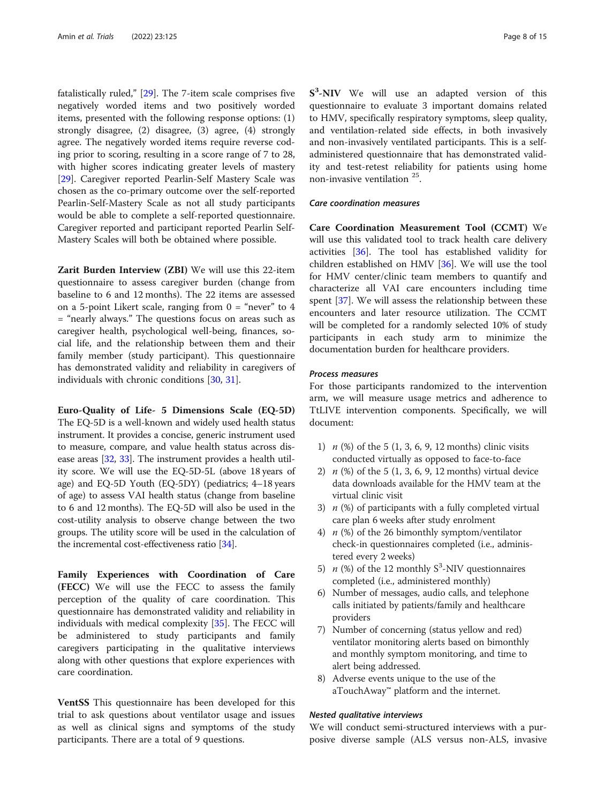fatalistically ruled," [\[29\]](#page-14-0). The 7-item scale comprises five negatively worded items and two positively worded items, presented with the following response options: (1) strongly disagree, (2) disagree, (3) agree, (4) strongly agree. The negatively worded items require reverse coding prior to scoring, resulting in a score range of 7 to 28, with higher scores indicating greater levels of mastery [[29\]](#page-14-0). Caregiver reported Pearlin-Self Mastery Scale was chosen as the co-primary outcome over the self-reported Pearlin-Self-Mastery Scale as not all study participants would be able to complete a self-reported questionnaire. Caregiver reported and participant reported Pearlin Self-Mastery Scales will both be obtained where possible.

Zarit Burden Interview (ZBI) We will use this 22-item questionnaire to assess caregiver burden (change from baseline to 6 and 12 months). The 22 items are assessed on a 5-point Likert scale, ranging from  $0 =$  "never" to 4 = "nearly always." The questions focus on areas such as caregiver health, psychological well-being, finances, social life, and the relationship between them and their family member (study participant). This questionnaire has demonstrated validity and reliability in caregivers of individuals with chronic conditions [\[30](#page-14-0), [31\]](#page-14-0).

Euro-Quality of Life- 5 Dimensions Scale (EQ-5D) The EQ-5D is a well-known and widely used health status instrument. It provides a concise, generic instrument used to measure, compare, and value health status across disease areas [[32](#page-14-0), [33](#page-14-0)]. The instrument provides a health utility score. We will use the EQ-5D-5L (above 18 years of age) and EQ-5D Youth (EQ-5DY) (pediatrics; 4–18 years of age) to assess VAI health status (change from baseline to 6 and 12 months). The EQ-5D will also be used in the cost-utility analysis to observe change between the two groups. The utility score will be used in the calculation of the incremental cost-effectiveness ratio [\[34](#page-14-0)].

Family Experiences with Coordination of Care (FECC) We will use the FECC to assess the family perception of the quality of care coordination. This questionnaire has demonstrated validity and reliability in individuals with medical complexity [\[35\]](#page-14-0). The FECC will be administered to study participants and family caregivers participating in the qualitative interviews along with other questions that explore experiences with care coordination.

VentSS This questionnaire has been developed for this trial to ask questions about ventilator usage and issues as well as clinical signs and symptoms of the study participants. There are a total of 9 questions.

S<sup>3</sup>-NIV We will use an adapted version of this questionnaire to evaluate 3 important domains related to HMV, specifically respiratory symptoms, sleep quality, and ventilation-related side effects, in both invasively and non-invasively ventilated participants. This is a selfadministered questionnaire that has demonstrated validity and test-retest reliability for patients using home non-invasive ventilation 25.

# Care coordination measures

Care Coordination Measurement Tool (CCMT) We will use this validated tool to track health care delivery activities [\[36](#page-14-0)]. The tool has established validity for children established on HMV [\[36](#page-14-0)]. We will use the tool for HMV center/clinic team members to quantify and characterize all VAI care encounters including time spent [[37\]](#page-14-0). We will assess the relationship between these encounters and later resource utilization. The CCMT will be completed for a randomly selected 10% of study participants in each study arm to minimize the documentation burden for healthcare providers.

# Process measures

For those participants randomized to the intervention arm, we will measure usage metrics and adherence to TtLIVE intervention components. Specifically, we will document:

- 1)  $n$  (%) of the 5 (1, 3, 6, 9, 12 months) clinic visits conducted virtually as opposed to face-to-face
- 2)  $n$  (%) of the 5 (1, 3, 6, 9, 12 months) virtual device data downloads available for the HMV team at the virtual clinic visit
- 3)  $n$  (%) of participants with a fully completed virtual care plan 6 weeks after study enrolment
- 4)  $n$  (%) of the 26 bimonthly symptom/ventilator check-in questionnaires completed (i.e., administered every 2 weeks)
- 5)  $n$  (%) of the 12 monthly S<sup>3</sup>-NIV questionnaires completed (i.e., administered monthly)
- 6) Number of messages, audio calls, and telephone calls initiated by patients/family and healthcare providers
- 7) Number of concerning (status yellow and red) ventilator monitoring alerts based on bimonthly and monthly symptom monitoring, and time to alert being addressed.
- 8) Adverse events unique to the use of the aTouchAway™ platform and the internet.

# Nested qualitative interviews

We will conduct semi-structured interviews with a purposive diverse sample (ALS versus non-ALS, invasive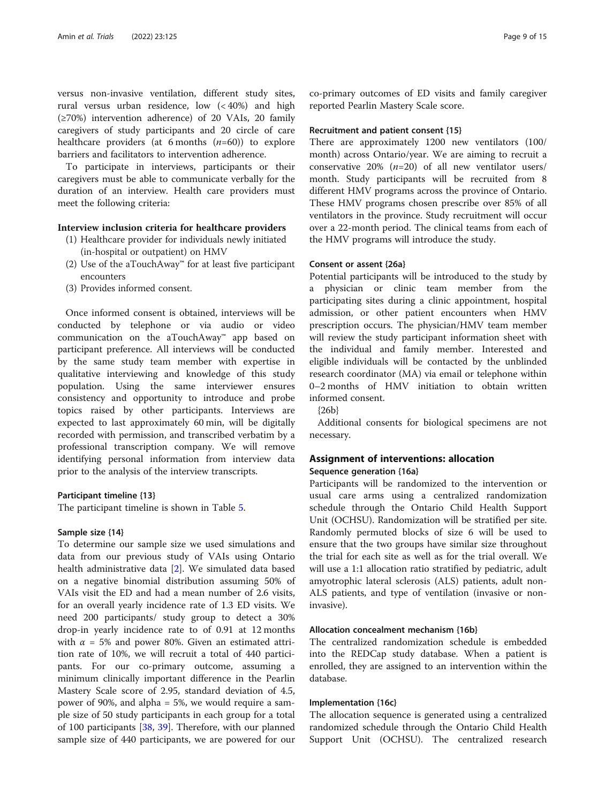versus non-invasive ventilation, different study sites, rural versus urban residence, low (< 40%) and high (≥70%) intervention adherence) of 20 VAIs, 20 family caregivers of study participants and 20 circle of care healthcare providers (at 6 months  $(n=60)$ ) to explore barriers and facilitators to intervention adherence.

To participate in interviews, participants or their caregivers must be able to communicate verbally for the duration of an interview. Health care providers must meet the following criteria:

# Interview inclusion criteria for healthcare providers

- (1) Healthcare provider for individuals newly initiated (in-hospital or outpatient) on HMV
- (2) Use of the aTouchAway™ for at least five participant encounters
- (3) Provides informed consent.

Once informed consent is obtained, interviews will be conducted by telephone or via audio or video communication on the aTouchAway™ app based on participant preference. All interviews will be conducted by the same study team member with expertise in qualitative interviewing and knowledge of this study population. Using the same interviewer ensures consistency and opportunity to introduce and probe topics raised by other participants. Interviews are expected to last approximately 60 min, will be digitally recorded with permission, and transcribed verbatim by a professional transcription company. We will remove identifying personal information from interview data prior to the analysis of the interview transcripts.

# Participant timeline {13}

The participant timeline is shown in Table [5.](#page-9-0)

#### Sample size {14}

To determine our sample size we used simulations and data from our previous study of VAIs using Ontario health administrative data [\[2](#page-13-0)]. We simulated data based on a negative binomial distribution assuming 50% of VAIs visit the ED and had a mean number of 2.6 visits, for an overall yearly incidence rate of 1.3 ED visits. We need 200 participants/ study group to detect a 30% drop-in yearly incidence rate to of 0.91 at 12 months with  $\alpha$  = 5% and power 80%. Given an estimated attrition rate of 10%, we will recruit a total of 440 participants. For our co-primary outcome, assuming a minimum clinically important difference in the Pearlin Mastery Scale score of 2.95, standard deviation of 4.5, power of 90%, and alpha = 5%, we would require a sample size of 50 study participants in each group for a total of 100 participants [\[38](#page-14-0), [39](#page-14-0)]. Therefore, with our planned sample size of 440 participants, we are powered for our

co-primary outcomes of ED visits and family caregiver reported Pearlin Mastery Scale score.

#### Recruitment and patient consent {15}

There are approximately 1200 new ventilators (100/ month) across Ontario/year. We are aiming to recruit a conservative 20%  $(n=20)$  of all new ventilator users/ month. Study participants will be recruited from 8 different HMV programs across the province of Ontario. These HMV programs chosen prescribe over 85% of all ventilators in the province. Study recruitment will occur over a 22-month period. The clinical teams from each of the HMV programs will introduce the study.

#### Consent or assent {26a}

Potential participants will be introduced to the study by a physician or clinic team member from the participating sites during a clinic appointment, hospital admission, or other patient encounters when HMV prescription occurs. The physician/HMV team member will review the study participant information sheet with the individual and family member. Interested and eligible individuals will be contacted by the unblinded research coordinator (MA) via email or telephone within 0–2 months of HMV initiation to obtain written informed consent.

{26b}

Additional consents for biological specimens are not necessary.

# Assignment of interventions: allocation

# Sequence generation {16a}

Participants will be randomized to the intervention or usual care arms using a centralized randomization schedule through the Ontario Child Health Support Unit (OCHSU). Randomization will be stratified per site. Randomly permuted blocks of size 6 will be used to ensure that the two groups have similar size throughout the trial for each site as well as for the trial overall. We will use a 1:1 allocation ratio stratified by pediatric, adult amyotrophic lateral sclerosis (ALS) patients, adult non-ALS patients, and type of ventilation (invasive or noninvasive).

# Allocation concealment mechanism {16b}

The centralized randomization schedule is embedded into the REDCap study database. When a patient is enrolled, they are assigned to an intervention within the database.

# Implementation {16c}

The allocation sequence is generated using a centralized randomized schedule through the Ontario Child Health Support Unit (OCHSU). The centralized research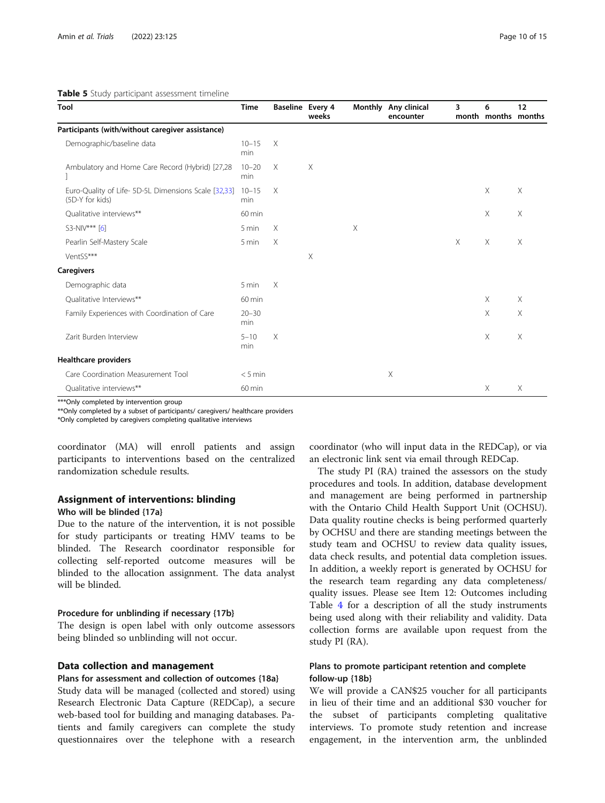<span id="page-9-0"></span>

| Table 5 Study participant assessment timeline |  |
|-----------------------------------------------|--|
|-----------------------------------------------|--|

| Tool                                                                    | <b>Time</b>         | Baseline Every 4 | weeks | <b>Monthly</b> | Any clinical<br>encounter | 3 | 6<br>month months months | 12       |
|-------------------------------------------------------------------------|---------------------|------------------|-------|----------------|---------------------------|---|--------------------------|----------|
| Participants (with/without caregiver assistance)                        |                     |                  |       |                |                           |   |                          |          |
| Demographic/baseline data                                               | $10 - 15$<br>min    | $\times$         |       |                |                           |   |                          |          |
| Ambulatory and Home Care Record (Hybrid) [27,28                         | $10 - 20$<br>min    | $\times$         | X     |                |                           |   |                          |          |
| Euro-Quality of Life- 5D-5L Dimensions Scale [32,33]<br>(5D-Y for kids) | $10 - 15$<br>min    | $\times$         |       |                |                           |   | $\times$                 | $\times$ |
| Qualitative interviews**                                                | $60 \,\mathrm{min}$ |                  |       |                |                           |   | $\times$                 | $\times$ |
| S3-NIV*** [6]                                                           | 5 min               | $\times$         |       | Χ              |                           |   |                          |          |
| Pearlin Self-Mastery Scale                                              | 5 min               | $\times$         |       |                |                           | X | Χ                        | X        |
| VentSS***                                                               |                     |                  | Χ     |                |                           |   |                          |          |
| <b>Caregivers</b>                                                       |                     |                  |       |                |                           |   |                          |          |
| Demographic data                                                        | 5 min               | $\times$         |       |                |                           |   |                          |          |
| Qualitative Interviews**                                                | 60 min              |                  |       |                |                           |   | X                        | $\times$ |
| Family Experiences with Coordination of Care                            | $20 - 30$<br>min    |                  |       |                |                           |   | X                        | Χ        |
| Zarit Burden Interview                                                  | $5 - 10$<br>min     | $\times$         |       |                |                           |   | $\times$                 | X        |
| <b>Healthcare providers</b>                                             |                     |                  |       |                |                           |   |                          |          |
| Care Coordination Measurement Tool                                      | $< 5$ min           |                  |       |                | Χ                         |   |                          |          |
| Qualitative interviews**                                                | 60 min              |                  |       |                |                           |   | $\times$                 | Χ        |

\*\*\*Only completed by intervention group

\*\*Only completed by a subset of participants/ caregivers/ healthcare providers

\*Only completed by caregivers completing qualitative interviews

coordinator (MA) will enroll patients and assign participants to interventions based on the centralized randomization schedule results.

## Assignment of interventions: blinding

# Who will be blinded {17a}

Due to the nature of the intervention, it is not possible for study participants or treating HMV teams to be blinded. The Research coordinator responsible for collecting self-reported outcome measures will be blinded to the allocation assignment. The data analyst will be blinded.

# Procedure for unblinding if necessary {17b}

The design is open label with only outcome assessors being blinded so unblinding will not occur.

#### Data collection and management

#### Plans for assessment and collection of outcomes {18a}

Study data will be managed (collected and stored) using Research Electronic Data Capture (REDCap), a secure web-based tool for building and managing databases. Patients and family caregivers can complete the study questionnaires over the telephone with a research

coordinator (who will input data in the REDCap), or via an electronic link sent via email through REDCap.

The study PI (RA) trained the assessors on the study procedures and tools. In addition, database development and management are being performed in partnership with the Ontario Child Health Support Unit (OCHSU). Data quality routine checks is being performed quarterly by OCHSU and there are standing meetings between the study team and OCHSU to review data quality issues, data check results, and potential data completion issues. In addition, a weekly report is generated by OCHSU for the research team regarding any data completeness/ quality issues. Please see Item 12: Outcomes including Table [4](#page-6-0) for a description of all the study instruments being used along with their reliability and validity. Data collection forms are available upon request from the study PI (RA).

# Plans to promote participant retention and complete follow-up {18b}

We will provide a CAN\$25 voucher for all participants in lieu of their time and an additional \$30 voucher for the subset of participants completing qualitative interviews. To promote study retention and increase engagement, in the intervention arm, the unblinded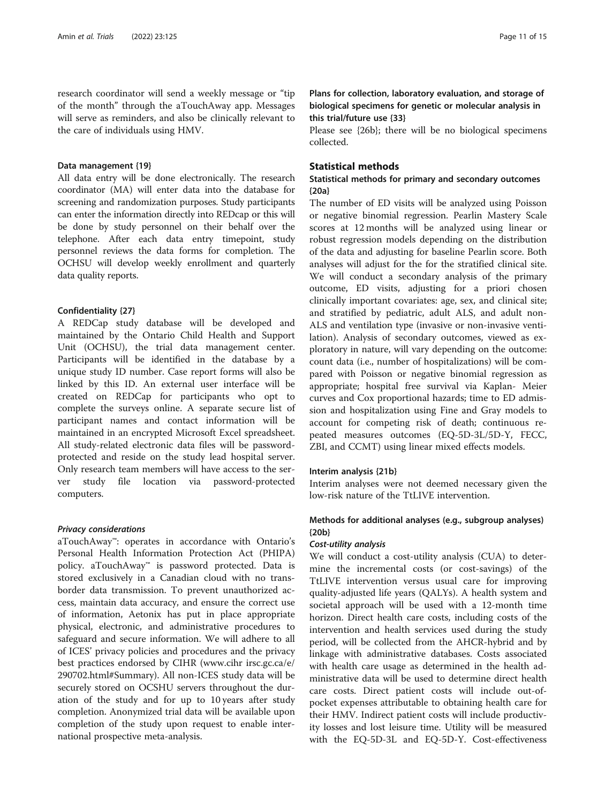research coordinator will send a weekly message or "tip of the month" through the aTouchAway app. Messages will serve as reminders, and also be clinically relevant to the care of individuals using HMV.

# Data management {19}

All data entry will be done electronically. The research coordinator (MA) will enter data into the database for screening and randomization purposes. Study participants can enter the information directly into REDcap or this will be done by study personnel on their behalf over the telephone. After each data entry timepoint, study personnel reviews the data forms for completion. The OCHSU will develop weekly enrollment and quarterly data quality reports.

# Confidentiality {27}

A REDCap study database will be developed and maintained by the Ontario Child Health and Support Unit (OCHSU), the trial data management center. Participants will be identified in the database by a unique study ID number. Case report forms will also be linked by this ID. An external user interface will be created on REDCap for participants who opt to complete the surveys online. A separate secure list of participant names and contact information will be maintained in an encrypted Microsoft Excel spreadsheet. All study-related electronic data files will be passwordprotected and reside on the study lead hospital server. Only research team members will have access to the server study file location via password-protected computers.

#### Privacy considerations

aTouchAway™: operates in accordance with Ontario's Personal Health Information Protection Act (PHIPA) policy. aTouchAway™ is password protected. Data is stored exclusively in a Canadian cloud with no transborder data transmission. To prevent unauthorized access, maintain data accuracy, and ensure the correct use of information, Aetonix has put in place appropriate physical, electronic, and administrative procedures to safeguard and secure information. We will adhere to all of ICES' privacy policies and procedures and the privacy best practices endorsed by CIHR (www.cihr irsc.gc.ca/e/ 290702.html#Summary). All non-ICES study data will be securely stored on OCSHU servers throughout the duration of the study and for up to 10 years after study completion. Anonymized trial data will be available upon completion of the study upon request to enable international prospective meta-analysis.

Plans for collection, laboratory evaluation, and storage of biological specimens for genetic or molecular analysis in this trial/future use {33}

Please see {26b}; there will be no biological specimens collected.

# Statistical methods

# Statistical methods for primary and secondary outcomes {20a}

The number of ED visits will be analyzed using Poisson or negative binomial regression. Pearlin Mastery Scale scores at 12 months will be analyzed using linear or robust regression models depending on the distribution of the data and adjusting for baseline Pearlin score. Both analyses will adjust for the for the stratified clinical site. We will conduct a secondary analysis of the primary outcome, ED visits, adjusting for a priori chosen clinically important covariates: age, sex, and clinical site; and stratified by pediatric, adult ALS, and adult non-ALS and ventilation type (invasive or non-invasive ventilation). Analysis of secondary outcomes, viewed as exploratory in nature, will vary depending on the outcome: count data (i.e., number of hospitalizations) will be compared with Poisson or negative binomial regression as appropriate; hospital free survival via Kaplan- Meier curves and Cox proportional hazards; time to ED admission and hospitalization using Fine and Gray models to account for competing risk of death; continuous repeated measures outcomes (EQ-5D-3L/5D-Y, FECC, ZBI, and CCMT) using linear mixed effects models.

# Interim analysis {21b}

Interim analyses were not deemed necessary given the low-risk nature of the TtLIVE intervention.

# Methods for additional analyses (e.g., subgroup analyses) {20b}

# Cost-utility analysis

We will conduct a cost-utility analysis (CUA) to determine the incremental costs (or cost-savings) of the TtLIVE intervention versus usual care for improving quality-adjusted life years (QALYs). A health system and societal approach will be used with a 12-month time horizon. Direct health care costs, including costs of the intervention and health services used during the study period, will be collected from the AHCR-hybrid and by linkage with administrative databases. Costs associated with health care usage as determined in the health administrative data will be used to determine direct health care costs. Direct patient costs will include out-ofpocket expenses attributable to obtaining health care for their HMV. Indirect patient costs will include productivity losses and lost leisure time. Utility will be measured with the EQ-5D-3L and EQ-5D-Y. Cost-effectiveness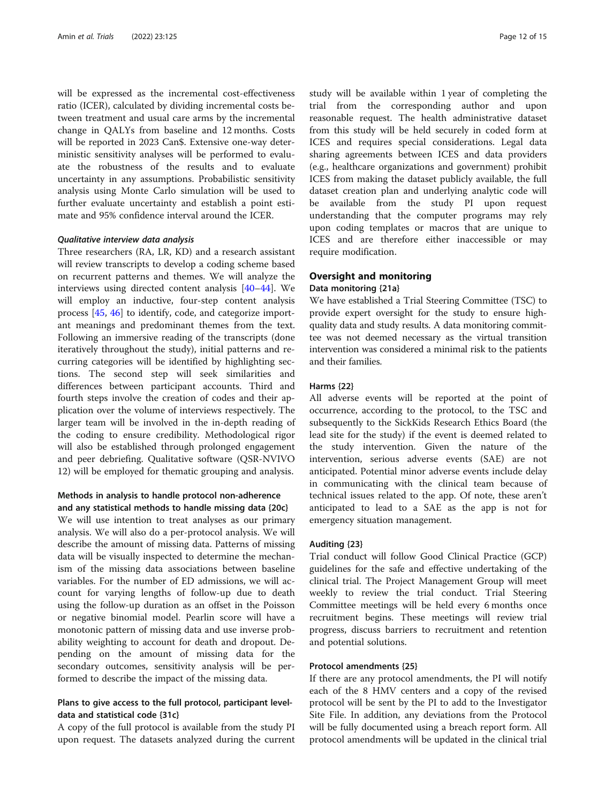will be expressed as the incremental cost-effectiveness ratio (ICER), calculated by dividing incremental costs between treatment and usual care arms by the incremental change in QALYs from baseline and 12 months. Costs will be reported in 2023 Can\$. Extensive one-way deterministic sensitivity analyses will be performed to evaluate the robustness of the results and to evaluate uncertainty in any assumptions. Probabilistic sensitivity analysis using Monte Carlo simulation will be used to further evaluate uncertainty and establish a point estimate and 95% confidence interval around the ICER.

## Qualitative interview data analysis

Three researchers (RA, LR, KD) and a research assistant will review transcripts to develop a coding scheme based on recurrent patterns and themes. We will analyze the interviews using directed content analysis [[40](#page-14-0)–[44](#page-14-0)]. We will employ an inductive, four-step content analysis process [\[45](#page-14-0), [46](#page-14-0)] to identify, code, and categorize important meanings and predominant themes from the text. Following an immersive reading of the transcripts (done iteratively throughout the study), initial patterns and recurring categories will be identified by highlighting sections. The second step will seek similarities and differences between participant accounts. Third and fourth steps involve the creation of codes and their application over the volume of interviews respectively. The larger team will be involved in the in-depth reading of the coding to ensure credibility. Methodological rigor will also be established through prolonged engagement and peer debriefing. Qualitative software (QSR-NVIVO 12) will be employed for thematic grouping and analysis.

# Methods in analysis to handle protocol non-adherence and any statistical methods to handle missing data {20c}

We will use intention to treat analyses as our primary analysis. We will also do a per-protocol analysis. We will describe the amount of missing data. Patterns of missing data will be visually inspected to determine the mechanism of the missing data associations between baseline variables. For the number of ED admissions, we will account for varying lengths of follow-up due to death using the follow-up duration as an offset in the Poisson or negative binomial model. Pearlin score will have a monotonic pattern of missing data and use inverse probability weighting to account for death and dropout. Depending on the amount of missing data for the secondary outcomes, sensitivity analysis will be performed to describe the impact of the missing data.

# Plans to give access to the full protocol, participant leveldata and statistical code {31c}

A copy of the full protocol is available from the study PI upon request. The datasets analyzed during the current study will be available within 1 year of completing the trial from the corresponding author and upon reasonable request. The health administrative dataset from this study will be held securely in coded form at ICES and requires special considerations. Legal data sharing agreements between ICES and data providers (e.g., healthcare organizations and government) prohibit ICES from making the dataset publicly available, the full dataset creation plan and underlying analytic code will be available from the study PI upon request understanding that the computer programs may rely upon coding templates or macros that are unique to ICES and are therefore either inaccessible or may require modification.

# Oversight and monitoring

# Data monitoring {21a}

We have established a Trial Steering Committee (TSC) to provide expert oversight for the study to ensure highquality data and study results. A data monitoring committee was not deemed necessary as the virtual transition intervention was considered a minimal risk to the patients and their families.

# Harms {22}

All adverse events will be reported at the point of occurrence, according to the protocol, to the TSC and subsequently to the SickKids Research Ethics Board (the lead site for the study) if the event is deemed related to the study intervention. Given the nature of the intervention, serious adverse events (SAE) are not anticipated. Potential minor adverse events include delay in communicating with the clinical team because of technical issues related to the app. Of note, these aren't anticipated to lead to a SAE as the app is not for emergency situation management.

# Auditing {23}

Trial conduct will follow Good Clinical Practice (GCP) guidelines for the safe and effective undertaking of the clinical trial. The Project Management Group will meet weekly to review the trial conduct. Trial Steering Committee meetings will be held every 6 months once recruitment begins. These meetings will review trial progress, discuss barriers to recruitment and retention and potential solutions.

# Protocol amendments {25}

If there are any protocol amendments, the PI will notify each of the 8 HMV centers and a copy of the revised protocol will be sent by the PI to add to the Investigator Site File. In addition, any deviations from the Protocol will be fully documented using a breach report form. All protocol amendments will be updated in the clinical trial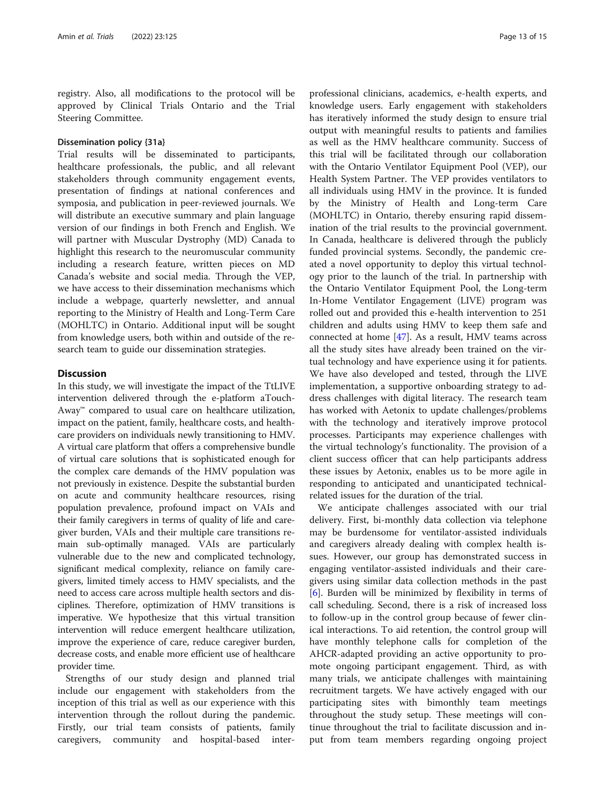registry. Also, all modifications to the protocol will be approved by Clinical Trials Ontario and the Trial Steering Committee.

# Dissemination policy {31a}

Trial results will be disseminated to participants, healthcare professionals, the public, and all relevant stakeholders through community engagement events, presentation of findings at national conferences and symposia, and publication in peer-reviewed journals. We will distribute an executive summary and plain language version of our findings in both French and English. We will partner with Muscular Dystrophy (MD) Canada to highlight this research to the neuromuscular community including a research feature, written pieces on MD Canada's website and social media. Through the VEP, we have access to their dissemination mechanisms which include a webpage, quarterly newsletter, and annual reporting to the Ministry of Health and Long-Term Care (MOHLTC) in Ontario. Additional input will be sought from knowledge users, both within and outside of the research team to guide our dissemination strategies.

# **Discussion**

In this study, we will investigate the impact of the TtLIVE intervention delivered through the e-platform aTouch-Away™ compared to usual care on healthcare utilization, impact on the patient, family, healthcare costs, and healthcare providers on individuals newly transitioning to HMV. A virtual care platform that offers a comprehensive bundle of virtual care solutions that is sophisticated enough for the complex care demands of the HMV population was not previously in existence. Despite the substantial burden on acute and community healthcare resources, rising population prevalence, profound impact on VAIs and their family caregivers in terms of quality of life and caregiver burden, VAIs and their multiple care transitions remain sub-optimally managed. VAIs are particularly vulnerable due to the new and complicated technology, significant medical complexity, reliance on family caregivers, limited timely access to HMV specialists, and the need to access care across multiple health sectors and disciplines. Therefore, optimization of HMV transitions is imperative. We hypothesize that this virtual transition intervention will reduce emergent healthcare utilization, improve the experience of care, reduce caregiver burden, decrease costs, and enable more efficient use of healthcare provider time.

Strengths of our study design and planned trial include our engagement with stakeholders from the inception of this trial as well as our experience with this intervention through the rollout during the pandemic. Firstly, our trial team consists of patients, family caregivers, community and hospital-based inter-

professional clinicians, academics, e-health experts, and knowledge users. Early engagement with stakeholders has iteratively informed the study design to ensure trial output with meaningful results to patients and families as well as the HMV healthcare community. Success of this trial will be facilitated through our collaboration with the Ontario Ventilator Equipment Pool (VEP), our Health System Partner. The VEP provides ventilators to all individuals using HMV in the province. It is funded by the Ministry of Health and Long-term Care (MOHLTC) in Ontario, thereby ensuring rapid dissemination of the trial results to the provincial government. In Canada, healthcare is delivered through the publicly funded provincial systems. Secondly, the pandemic created a novel opportunity to deploy this virtual technology prior to the launch of the trial. In partnership with the Ontario Ventilator Equipment Pool, the Long-term In-Home Ventilator Engagement (LIVE) program was rolled out and provided this e-health intervention to 251 children and adults using HMV to keep them safe and connected at home [[47](#page-14-0)]. As a result, HMV teams across all the study sites have already been trained on the virtual technology and have experience using it for patients. We have also developed and tested, through the LIVE implementation, a supportive onboarding strategy to address challenges with digital literacy. The research team has worked with Aetonix to update challenges/problems with the technology and iteratively improve protocol processes. Participants may experience challenges with the virtual technology's functionality. The provision of a client success officer that can help participants address these issues by Aetonix, enables us to be more agile in responding to anticipated and unanticipated technicalrelated issues for the duration of the trial.

We anticipate challenges associated with our trial delivery. First, bi-monthly data collection via telephone may be burdensome for ventilator-assisted individuals and caregivers already dealing with complex health issues. However, our group has demonstrated success in engaging ventilator-assisted individuals and their caregivers using similar data collection methods in the past [[6\]](#page-13-0). Burden will be minimized by flexibility in terms of call scheduling. Second, there is a risk of increased loss to follow-up in the control group because of fewer clinical interactions. To aid retention, the control group will have monthly telephone calls for completion of the AHCR-adapted providing an active opportunity to promote ongoing participant engagement. Third, as with many trials, we anticipate challenges with maintaining recruitment targets. We have actively engaged with our participating sites with bimonthly team meetings throughout the study setup. These meetings will continue throughout the trial to facilitate discussion and input from team members regarding ongoing project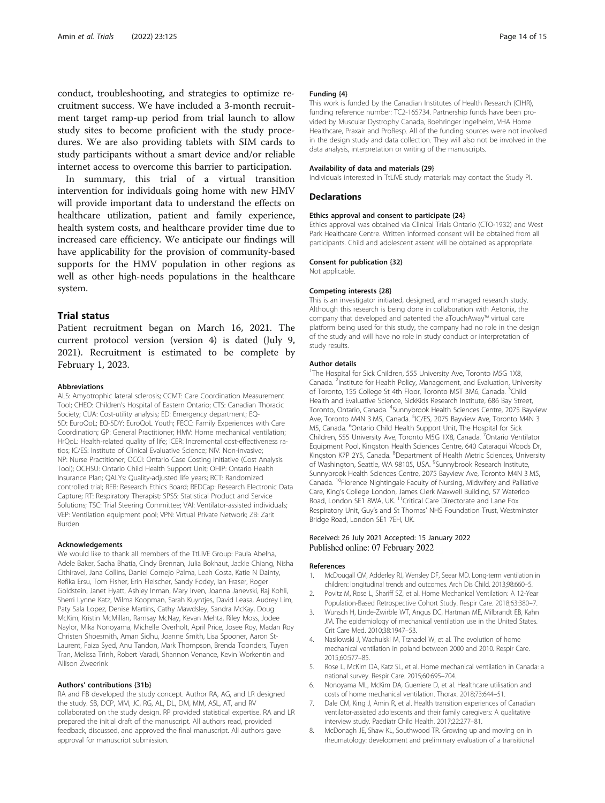<span id="page-13-0"></span>conduct, troubleshooting, and strategies to optimize recruitment success. We have included a 3-month recruitment target ramp-up period from trial launch to allow study sites to become proficient with the study procedures. We are also providing tablets with SIM cards to study participants without a smart device and/or reliable internet access to overcome this barrier to participation.

In summary, this trial of a virtual transition intervention for individuals going home with new HMV will provide important data to understand the effects on healthcare utilization, patient and family experience, health system costs, and healthcare provider time due to increased care efficiency. We anticipate our findings will have applicability for the provision of community-based supports for the HMV population in other regions as well as other high-needs populations in the healthcare system.

# Trial status

Patient recruitment began on March 16, 2021. The current protocol version (version 4) is dated (July 9, 2021). Recruitment is estimated to be complete by February 1, 2023.

#### **Abbreviations**

ALS: Amyotrophic lateral sclerosis; CCMT: Care Coordination Measurement Tool; CHEO: Children's Hospital of Eastern Ontario; CTS: Canadian Thoracic Society; CUA: Cost-utility analysis; ED: Emergency department; EQ-5D: EuroQoL; EQ-5DY: EuroQoL Youth; FECC: Family Experiences with Care Coordination; GP: General Practitioner; HMV: Home mechanical ventilation; HrQoL: Health-related quality of life; ICER: Incremental cost-effectiveness ratios; IC/ES: Institute of Clinical Evaluative Science; NIV: Non-invasive; NP: Nurse Practitioner; OCCI: Ontario Case Costing Initiative (Cost Analysis Tool); OCHSU: Ontario Child Health Support Unit; OHIP: Ontario Health Insurance Plan; QALYs: Quality-adjusted life years; RCT: Randomized controlled trial; REB: Research Ethics Board; REDCap: Research Electronic Data Capture; RT: Respiratory Therapist; SPSS: Statistical Product and Service Solutions; TSC: Trial Steering Committee; VAI: Ventilator-assisted individuals; VEP: Ventilation equipment pool; VPN: Virtual Private Network; ZB: Zarit Burden

#### Acknowledgements

We would like to thank all members of the TtLIVE Group: Paula Abelha, Adele Baker, Sacha Bhatia, Cindy Brennan, Julia Bokhaut, Jackie Chiang, Nisha Cithiravel, Jana Collins, Daniel Cornejo Palma, Leah Costa, Katie N Dainty, Refika Ersu, Tom Fisher, Erin Fleischer, Sandy Fodey, Ian Fraser, Roger Goldstein, Janet Hyatt, Ashley Inman, Mary Irven, Joanna Janevski, Raj Kohli, Sherri Lynne Katz, Wilma Koopman, Sarah Kuyntjes, David Leasa, Audrey Lim, Paty Sala Lopez, Denise Martins, Cathy Mawdsley, Sandra McKay, Doug McKim, Kristin McMillan, Ramsay McNay, Kevan Mehta, Riley Moss, Jodee Naylor, Mika Nonoyama, Michelle Overholt, April Price, Josee Roy, Madan Roy Christen Shoesmith, Aman Sidhu, Joanne Smith, Lisa Spooner, Aaron St-Laurent, Faiza Syed, Anu Tandon, Mark Thompson, Brenda Toonders, Tuyen Tran, Melissa Trinh, Robert Varadi, Shannon Venance, Kevin Workentin and Allison Zweerink

# Authors' contributions {31b}

RA and FB developed the study concept. Author RA, AG, and LR designed the study. SB, DCP, MM, JC, RG, AL, DL, DM, MM, ASL, AT, and RV collaborated on the study design. RP provided statistical expertise. RA and LR prepared the initial draft of the manuscript. All authors read, provided feedback, discussed, and approved the final manuscript. All authors gave approval for manuscript submission.

#### Funding {4}

This work is funded by the Canadian Institutes of Health Research (CIHR), funding reference number: TC2-165734. Partnership funds have been provided by Muscular Dystrophy Canada, Boehringer Ingelheim, VHA Home Healthcare, Praxair and ProResp. All of the funding sources were not involved in the design study and data collection. They will also not be involved in the data analysis, interpretation or writing of the manuscripts.

#### Availability of data and materials {29}

Individuals interested in TtLIVE study materials may contact the Study PI.

#### **Declarations**

#### Ethics approval and consent to participate {24}

Ethics approval was obtained via Clinical Trials Ontario (CTO-1932) and West Park Healthcare Centre. Written informed consent will be obtained from all participants. Child and adolescent assent will be obtained as appropriate.

#### Consent for publication {32}

Not applicable.

#### Competing interests {28}

This is an investigator initiated, designed, and managed research study. Although this research is being done in collaboration with Aetonix, the company that developed and patented the aTouchAway™ virtual care platform being used for this study, the company had no role in the design of the study and will have no role in study conduct or interpretation of study results.

#### Author details

<sup>1</sup>The Hospital for Sick Children, 555 University Ave, Toronto M5G 1X8 Canada. <sup>2</sup>Institute for Health Policy, Management, and Evaluation, University of Toronto, 155 College St 4th Floor, Toronto M5T 3M6, Canada. <sup>3</sup>Child Health and Evaluative Science, SickKids Research Institute, 686 Bay Street, Toronto, Ontario, Canada. <sup>4</sup>Sunnybrook Health Sciences Centre, 2075 Bayview Ave, Toronto M4N 3 M5, Canada. <sup>5</sup>IC/ES, 2075 Bayview Ave, Toronto M4N 3 M5, Canada. <sup>6</sup>Ontario Child Health Support Unit, The Hospital for Sick Children, 555 University Ave, Toronto M5G 1X8, Canada. <sup>7</sup>Ontario Ventilator Equipment Pool, Kingston Health Sciences Centre, 640 Cataraqui Woods Dr, Kingston K7P 2Y5, Canada. <sup>8</sup>Department of Health Metric Sciences, University of Washington, Seattle, WA 98105, USA. <sup>9</sup>Sunnybrook Research Institute, Sunnybrook Health Sciences Centre, 2075 Bayview Ave, Toronto M4N 3 M5, Canada. <sup>10</sup>Florence Nightingale Faculty of Nursing, Midwifery and Palliative Care, King's College London, James Clerk Maxwell Building, 57 Waterloo Road, London SE1 8WA, UK. <sup>11</sup>Critical Care Directorate and Lane Fox Respiratory Unit, Guy's and St Thomas' NHS Foundation Trust, Westminster Bridge Road, London SE1 7EH, UK.

## Received: 26 July 2021 Accepted: 15 January 2022 Published online: 07 February 2022

#### References

- 1. McDougall CM, Adderley RJ, Wensley DF, Seear MD. Long-term ventilation in children: longitudinal trends and outcomes. Arch Dis Child. 2013;98:660–5.
- 2. Povitz M, Rose L, Shariff SZ, et al. Home Mechanical Ventilation: A 12-Year Population-Based Retrospective Cohort Study. Respir Care. 2018;63:380–7.
- 3. Wunsch H, Linde-Zwirble WT, Angus DC, Hartman ME, Milbrandt EB, Kahn JM. The epidemiology of mechanical ventilation use in the United States. Crit Care Med. 2010;38:1947–53.
- 4. Nasiłowski J, Wachulski M, Trznadel W, et al. The evolution of home mechanical ventilation in poland between 2000 and 2010. Respir Care. 2015;60:577–85.
- 5. Rose L, McKim DA, Katz SL, et al. Home mechanical ventilation in Canada: a national survey. Respir Care. 2015;60:695–704.
- 6. Nonoyama ML, McKim DA, Guerriere D, et al. Healthcare utilisation and costs of home mechanical ventilation. Thorax. 2018;73:644–51.
- 7. Dale CM, King J, Amin R, et al. Health transition experiences of Canadian ventilator-assisted adolescents and their family caregivers: A qualitative interview study. Paediatr Child Health. 2017;22:277–81.
- 8. McDonagh JE, Shaw KL, Southwood TR. Growing up and moving on in rheumatology: development and preliminary evaluation of a transitional